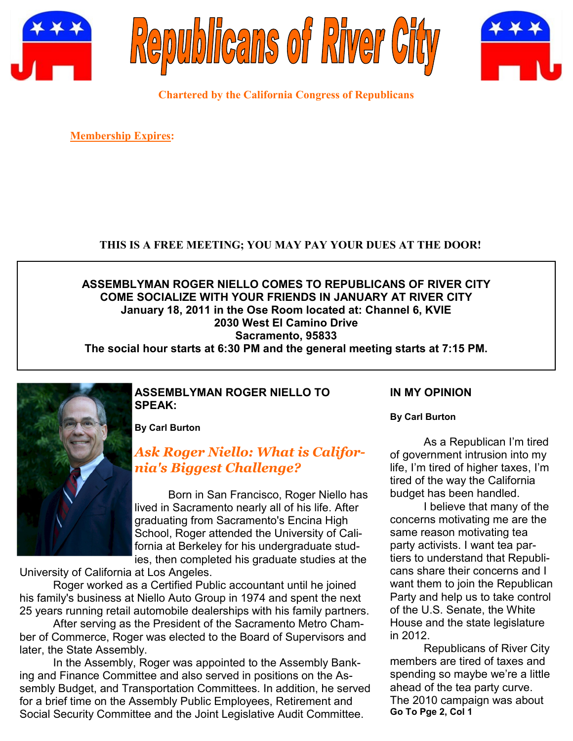





**Chartered by the California Congress of Republicans**

**Membership Expires:** 

### **THIS IS A FREE MEETING; YOU MAY PAY YOUR DUES AT THE DOOR!**

#### **ASSEMBLYMAN ROGER NIELLO COMES TO REPUBLICANS OF RIVER CITY COME SOCIALIZE WITH YOUR FRIENDS IN JANUARY AT RIVER CITY January 18, 2011 in the Ose Room located at: Channel 6, KVIE 2030 West El Camino Drive Sacramento, 95833 The social hour starts at 6:30 PM and the general meeting starts at 7:15 PM.**

#### **ASSEMBLYMAN ROGER NIELLO TO SPEAK:**

**By Carl Burton**

# *[Ask Roger Niello: What is Califor](http://www.rogerniello.com/media_play/ssid:1694)[nia's Biggest Challenge?](http://www.rogerniello.com/media_play/ssid:1694)*

Born in San Francisco, Roger Niello has lived in Sacramento nearly all of his life. After graduating from Sacramento's Encina High School, Roger attended the University of California at Berkeley for his undergraduate studies, then completed his graduate studies at the

University of California at Los Angeles.

Roger worked as a Certified Public accountant until he joined his family's business at Niello Auto Group in 1974 and spent the next 25 years running retail automobile dealerships with his family partners.

After serving as the President of the Sacramento Metro Chamber of Commerce, Roger was elected to the Board of Supervisors and later, the State Assembly.

In the Assembly, Roger was appointed to the Assembly Banking and Finance Committee and also served in positions on the Assembly Budget, and Transportation Committees. In addition, he served for a brief time on the Assembly Public Employees, Retirement and Social Security Committee and the Joint Legislative Audit Committee.

## **IN MY OPINION**

**By Carl Burton**

As a Republican I'm tired of government intrusion into my life, I'm tired of higher taxes, I'm tired of the way the California budget has been handled.

I believe that many of the concerns motivating me are the same reason motivating tea party activists. I want tea partiers to understand that Republicans share their concerns and I want them to join the Republican Party and help us to take control of the U.S. Senate, the White House and the state legislature in 2012.

Republicans of River City members are tired of taxes and spending so maybe we're a little ahead of the tea party curve. The 2010 campaign was about **Go To Pge 2, Col 1**